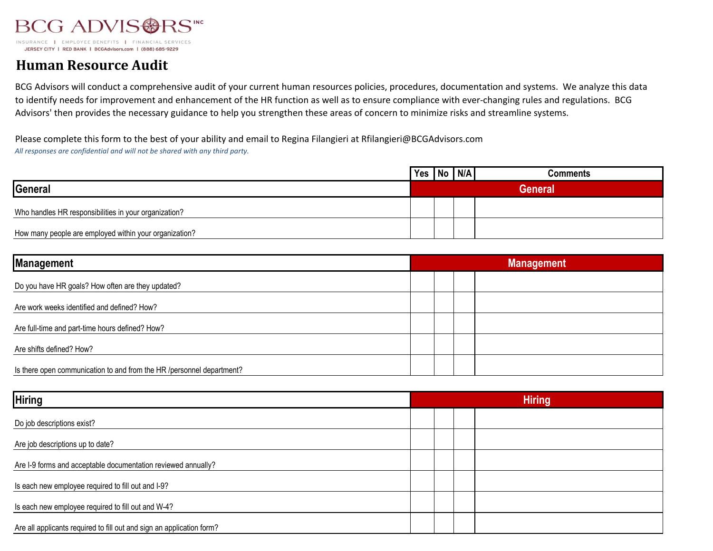

JERSEY CITY | RED BANK | BCGAdvisors.com | (888) 685-9229

## **Human Resource Audit**

BCG Advisors will conduct a comprehensive audit of your current human resources policies, procedures, documentation and systems. We analyze this data to identify needs for improvement and enhancement of the HR function as well as to ensure compliance with ever-changing rules and regulations. BCG Advisors' then provides the necessary guidance to help you strengthen these areas of concern to minimize risks and streamline systems.

Please complete this form to the best of your ability and email to Regina Filangieri at Rfilangieri@BCGAdvisors.com *All responses are confidential and will not be shared with any third party.*

|                                                        | Yes   No   N/A |  | Comments       |
|--------------------------------------------------------|----------------|--|----------------|
| General                                                |                |  | <b>General</b> |
| Who handles HR responsibilities in your organization?  |                |  |                |
| How many people are employed within your organization? |                |  |                |

| <b>Management</b>                                                     | <b>Management</b> |  |  |
|-----------------------------------------------------------------------|-------------------|--|--|
| Do you have HR goals? How often are they updated?                     |                   |  |  |
| Are work weeks identified and defined? How?                           |                   |  |  |
| Are full-time and part-time hours defined? How?                       |                   |  |  |
| Are shifts defined? How?                                              |                   |  |  |
| Is there open communication to and from the HR /personnel department? |                   |  |  |

| <b>Hiring</b>                                                         | <b>Hiring</b> |  |  |  |
|-----------------------------------------------------------------------|---------------|--|--|--|
| Do job descriptions exist?                                            |               |  |  |  |
| Are job descriptions up to date?                                      |               |  |  |  |
| Are I-9 forms and acceptable documentation reviewed annually?         |               |  |  |  |
| Is each new employee required to fill out and I-9?                    |               |  |  |  |
| Is each new employee required to fill out and W-4?                    |               |  |  |  |
| Are all applicants required to fill out and sign an application form? |               |  |  |  |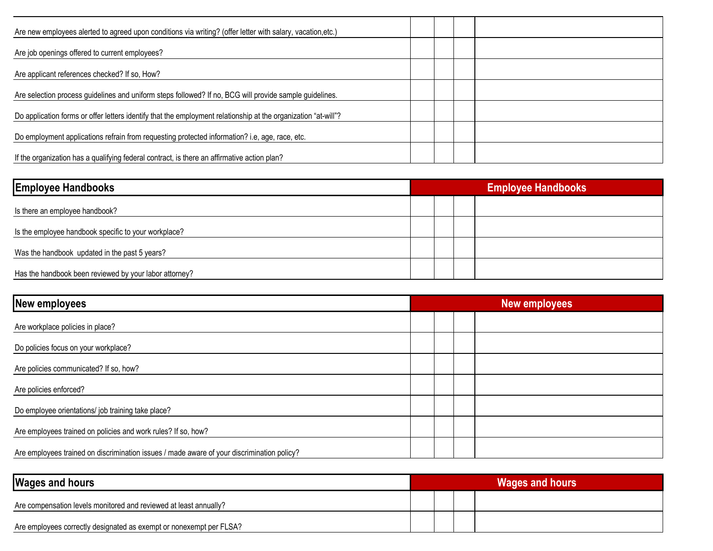| Are new employees alerted to agreed upon conditions via writing? (offer letter with salary, vacation, etc.)    |  |  |
|----------------------------------------------------------------------------------------------------------------|--|--|
| Are job openings offered to current employees?                                                                 |  |  |
| Are applicant references checked? If so, How?                                                                  |  |  |
| Are selection process guidelines and uniform steps followed? If no, BCG will provide sample guidelines.        |  |  |
| Do application forms or offer letters identify that the employment relationship at the organization "at-will"? |  |  |
| Do employment applications refrain from requesting protected information? i.e, age, race, etc.                 |  |  |
| If the organization has a qualifying federal contract, is there an affirmative action plan?                    |  |  |

| <b>Employee Handbooks</b>                              | <b>Employee Handbooks</b> |  |  |  |
|--------------------------------------------------------|---------------------------|--|--|--|
| Is there an employee handbook?                         |                           |  |  |  |
| Is the employee handbook specific to your workplace?   |                           |  |  |  |
| Was the handbook updated in the past 5 years?          |                           |  |  |  |
| Has the handbook been reviewed by your labor attorney? |                           |  |  |  |

| <b>New employees</b>                                                                       | <b>New employees</b> |  |  |  |
|--------------------------------------------------------------------------------------------|----------------------|--|--|--|
| Are workplace policies in place?                                                           |                      |  |  |  |
| Do policies focus on your workplace?                                                       |                      |  |  |  |
| Are policies communicated? If so, how?                                                     |                      |  |  |  |
| Are policies enforced?                                                                     |                      |  |  |  |
| Do employee orientations/ job training take place?                                         |                      |  |  |  |
| Are employees trained on policies and work rules? If so, how?                              |                      |  |  |  |
| Are employees trained on discrimination issues / made aware of your discrimination policy? |                      |  |  |  |

| <b>Wages and hours</b>                                              | <b>Wages and hours</b> |  |  |  |
|---------------------------------------------------------------------|------------------------|--|--|--|
| Are compensation levels monitored and reviewed at least annually?   |                        |  |  |  |
| Are employees correctly designated as exempt or nonexempt per FLSA? |                        |  |  |  |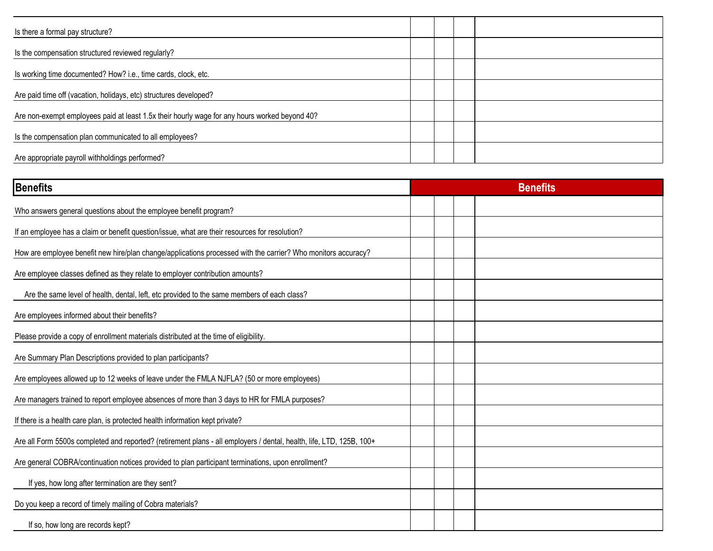| Is there a formal pay structure?                                                              |  |  |
|-----------------------------------------------------------------------------------------------|--|--|
| Is the compensation structured reviewed regularly?                                            |  |  |
| Is working time documented? How? i.e., time cards, clock, etc.                                |  |  |
| Are paid time off (vacation, holidays, etc) structures developed?                             |  |  |
| Are non-exempt employees paid at least 1.5x their hourly wage for any hours worked beyond 40? |  |  |
| Is the compensation plan communicated to all employees?                                       |  |  |
| Are appropriate payroll withholdings performed?                                               |  |  |

| <b>Benefits</b>                                                                                                      | <b>Benefits</b> |
|----------------------------------------------------------------------------------------------------------------------|-----------------|
| Who answers general questions about the employee benefit program?                                                    |                 |
| If an employee has a claim or benefit question/issue, what are their resources for resolution?                       |                 |
| How are employee benefit new hire/plan change/applications processed with the carrier? Who monitors accuracy?        |                 |
| Are employee classes defined as they relate to employer contribution amounts?                                        |                 |
| Are the same level of health, dental, left, etc provided to the same members of each class?                          |                 |
| Are employees informed about their benefits?                                                                         |                 |
| Please provide a copy of enrollment materials distributed at the time of eligibility.                                |                 |
| Are Summary Plan Descriptions provided to plan participants?                                                         |                 |
| Are employees allowed up to 12 weeks of leave under the FMLA NJFLA? (50 or more employees)                           |                 |
| Are managers trained to report employee absences of more than 3 days to HR for FMLA purposes?                        |                 |
| If there is a health care plan, is protected health information kept private?                                        |                 |
| Are all Form 5500s completed and reported? (retirement plans - all employers / dental, health, life, LTD, 125B, 100+ |                 |
| Are general COBRA/continuation notices provided to plan participant terminations, upon enrollment?                   |                 |
| If yes, how long after termination are they sent?                                                                    |                 |
| Do you keep a record of timely mailing of Cobra materials?                                                           |                 |
| If so, how long are records kept?                                                                                    |                 |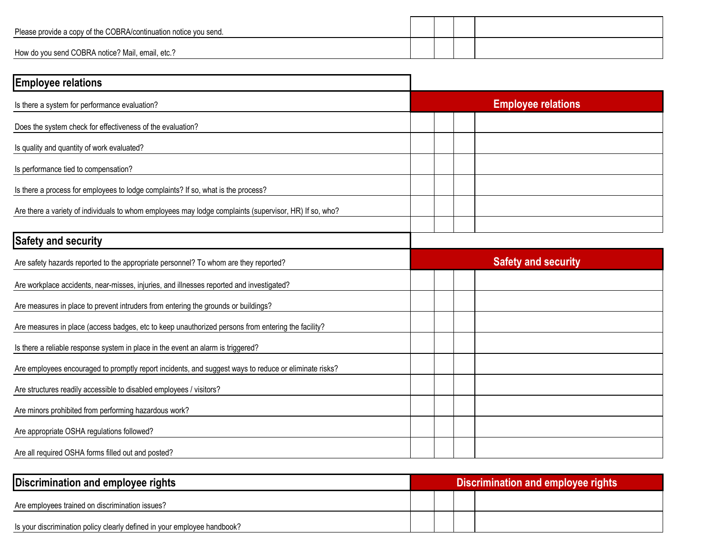| Please provide a copy of the COBRA/continuation notice you send. |  |  |
|------------------------------------------------------------------|--|--|
| How do you send COBRA notice? Mail, email, etc.?                 |  |  |

| <b>Employee relations</b>                                                                              |                            |
|--------------------------------------------------------------------------------------------------------|----------------------------|
| Is there a system for performance evaluation?                                                          | <b>Employee relations</b>  |
| Does the system check for effectiveness of the evaluation?                                             |                            |
| Is quality and quantity of work evaluated?                                                             |                            |
| Is performance tied to compensation?                                                                   |                            |
| Is there a process for employees to lodge complaints? If so, what is the process?                      |                            |
| Are there a variety of individuals to whom employees may lodge complaints (supervisor, HR) If so, who? |                            |
| <b>Safety and security</b>                                                                             |                            |
| Are safety hazards reported to the appropriate personnel? To whom are they reported?                   | <b>Safety and security</b> |
| Are workplace accidents, near-misses, injuries, and illnesses reported and investigated?               |                            |
| Are measures in place to prevent intruders from entering the grounds or buildings?                     |                            |
| Are measures in place (access badges, etc to keep unauthorized persons from entering the facility?     |                            |
| Is there a reliable response system in place in the event an alarm is triggered?                       |                            |
| Are employees encouraged to promptly report incidents, and suggest ways to reduce or eliminate risks?  |                            |
| Are structures readily accessible to disabled employees / visitors?                                    |                            |
| Are minors prohibited from performing hazardous work?                                                  |                            |
| Are appropriate OSHA regulations followed?                                                             |                            |
| Are all required OSHA forms filled out and posted?                                                     |                            |

| Discrimination and employee rights                                       | Discrimination and employee rights |  |  |  |
|--------------------------------------------------------------------------|------------------------------------|--|--|--|
| Are employees trained on discrimination issues?                          |                                    |  |  |  |
| Is your discrimination policy clearly defined in your employee handbook? |                                    |  |  |  |